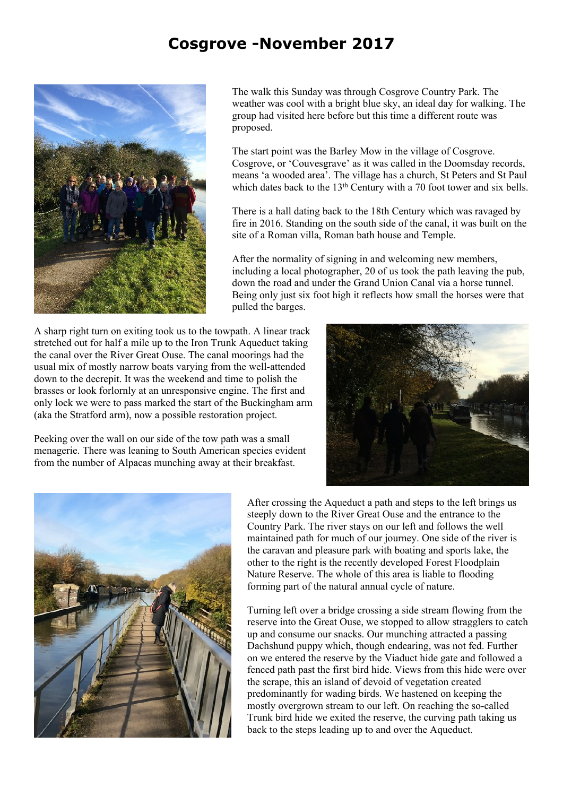## **Cosgrove -November 2017**



The walk this Sunday was through Cosgrove Country Park. The weather was cool with a bright blue sky, an ideal day for walking. The group had visited here before but this time a different route was proposed.

The start point was the Barley Mow in the village of Cosgrove. Cosgrove, or 'Couvesgrave' as it was called in the Doomsday records, means 'a wooded area'. The village has a church, St Peters and St Paul which dates back to the 13<sup>th</sup> Century with a 70 foot tower and six bells.

There is a hall dating back to the 18th Century which was ravaged by fire in 2016. Standing on the south side of the canal, it was built on the site of a Roman villa, Roman bath house and Temple.

After the normality of signing in and welcoming new members, including a local photographer, 20 of us took the path leaving the pub, down the road and under the Grand Union Canal via a horse tunnel. Being only just six foot high it reflects how small the horses were that pulled the barges.

A sharp right turn on exiting took us to the towpath. A linear track stretched out for half a mile up to the Iron Trunk Aqueduct taking the canal over the River Great Ouse. The canal moorings had the usual mix of mostly narrow boats varying from the well-attended down to the decrepit. It was the weekend and time to polish the brasses or look forlornly at an unresponsive engine. The first and only lock we were to pass marked the start of the Buckingham arm (aka the Stratford arm), now a possible restoration project.

Peeking over the wall on our side of the tow path was a small menagerie. There was leaning to South American species evident from the number of Alpacas munching away at their breakfast.





After crossing the Aqueduct a path and steps to the left brings us steeply down to the River Great Ouse and the entrance to the Country Park. The river stays on our left and follows the well maintained path for much of our journey. One side of the river is the caravan and pleasure park with boating and sports lake, the other to the right is the recently developed Forest Floodplain Nature Reserve. The whole of this area is liable to flooding forming part of the natural annual cycle of nature.

Turning left over a bridge crossing a side stream flowing from the reserve into the Great Ouse, we stopped to allow stragglers to catch up and consume our snacks. Our munching attracted a passing Dachshund puppy which, though endearing, was not fed. Further on we entered the reserve by the Viaduct hide gate and followed a fenced path past the first bird hide. Views from this hide were over the scrape, this an island of devoid of vegetation created predominantly for wading birds. We hastened on keeping the mostly overgrown stream to our left. On reaching the so-called Trunk bird hide we exited the reserve, the curving path taking us back to the steps leading up to and over the Aqueduct.